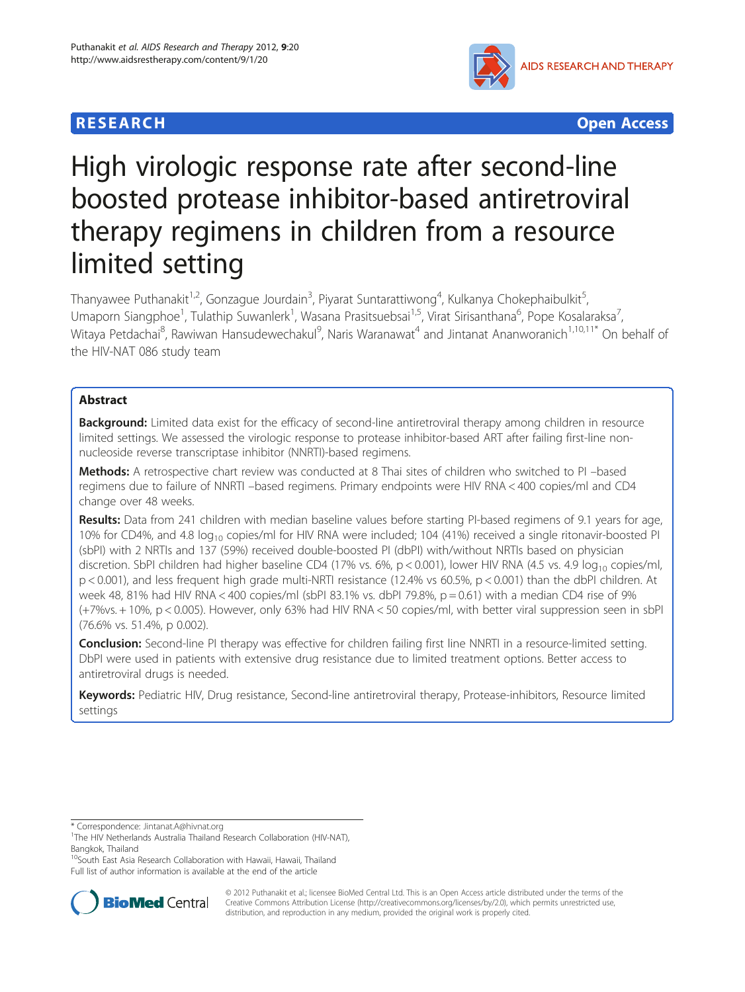



# High virologic response rate after second-line boosted protease inhibitor-based antiretroviral therapy regimens in children from a resource limited setting

Thanyawee Puthanakit<sup>1,2</sup>, Gonzague Jourdain<sup>3</sup>, Piyarat Suntarattiwong<sup>4</sup>, Kulkanya Chokephaibulkit<sup>5</sup> , Umaporn Siangphoe<sup>1</sup>, Tulathip Suwanlerk<sup>1</sup>, Wasana Prasitsuebsai<sup>1,5</sup>, Virat Sirisanthana<sup>6</sup>, Pope Kosalaraksa<sup>7</sup> , Witaya Petdachai<sup>8</sup>, Rawiwan Hansudewechakul<sup>9</sup>, Naris Waranawat<sup>4</sup> and Jintanat Ananworanich<sup>1,10,11\*</sup> On behalf of the HIV-NAT 086 study team

# Abstract

Background: Limited data exist for the efficacy of second-line antiretroviral therapy among children in resource limited settings. We assessed the virologic response to protease inhibitor-based ART after failing first-line nonnucleoside reverse transcriptase inhibitor (NNRTI)-based regimens.

Methods: A retrospective chart review was conducted at 8 Thai sites of children who switched to PI –based regimens due to failure of NNRTI –based regimens. Primary endpoints were HIV RNA < 400 copies/ml and CD4 change over 48 weeks.

Results: Data from 241 children with median baseline values before starting PI-based regimens of 9.1 years for age, 10% for CD4%, and 4.8  $log_{10}$  copies/ml for HIV RNA were included; 104 (41%) received a single ritonavir-boosted PI (sbPI) with 2 NRTIs and 137 (59%) received double-boosted PI (dbPI) with/without NRTIs based on physician discretion. SbPI children had higher baseline CD4 (17% vs. 6%,  $p < 0.001$ ), lower HIV RNA (4.5 vs. 4.9 log<sub>10</sub> copies/ml, p < 0.001), and less frequent high grade multi-NRTI resistance (12.4% vs 60.5%, p < 0.001) than the dbPI children. At week 48, 81% had HIV RNA < 400 copies/ml (sbPI 83.1% vs. dbPI 79.8%, p = 0.61) with a median CD4 rise of 9% (+7%vs. + 10%, p < 0.005). However, only 63% had HIV RNA < 50 copies/ml, with better viral suppression seen in sbPI (76.6% vs. 51.4%, p 0.002).

**Conclusion:** Second-line PI therapy was effective for children failing first line NNRTI in a resource-limited setting. DbPI were used in patients with extensive drug resistance due to limited treatment options. Better access to antiretroviral drugs is needed.

Keywords: Pediatric HIV, Drug resistance, Second-line antiretroviral therapy, Protease-inhibitors, Resource limited settings

\* Correspondence: [Jintanat.A@hivnat.org](mailto:Jintanat.A@hivnat.org) <sup>1</sup>

<sup>10</sup>South East Asia Research Collaboration with Hawaii, Hawaii, Thailand Full list of author information is available at the end of the article



© 2012 Puthanakit et al.; licensee BioMed Central Ltd. This is an Open Access article distributed under the terms of the Creative Commons Attribution License (<http://creativecommons.org/licenses/by/2.0>), which permits unrestricted use, distribution, and reproduction in any medium, provided the original work is properly cited.

<sup>&</sup>lt;sup>1</sup>The HIV Netherlands Australia Thailand Research Collaboration (HIV-NAT), Bangkok, Thailand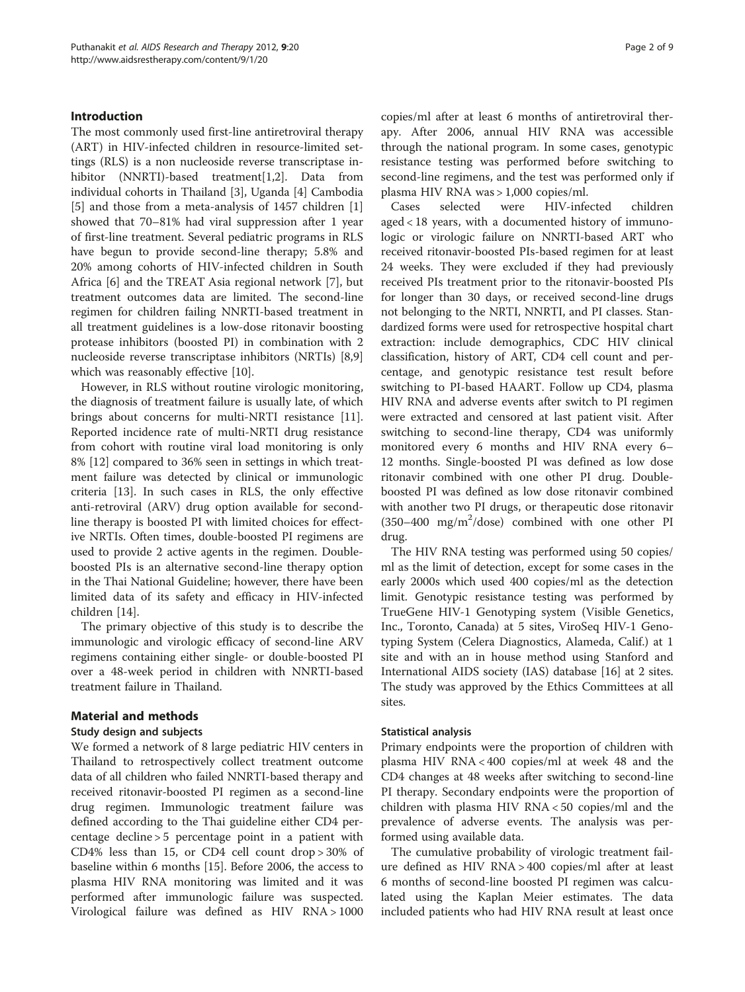# Introduction

The most commonly used first-line antiretroviral therapy (ART) in HIV-infected children in resource-limited settings (RLS) is a non nucleoside reverse transcriptase in-hibitor (NNRTI)-based treatment[[1](#page-7-0),[2\]](#page-7-0). Data from individual cohorts in Thailand [\[3](#page-7-0)], Uganda [[4\]](#page-7-0) Cambodia [[5\]](#page-7-0) and those from a meta-analysis of 1457 children [\[1](#page-7-0)] showed that 70–81% had viral suppression after 1 year of first-line treatment. Several pediatric programs in RLS have begun to provide second-line therapy; 5.8% and 20% among cohorts of HIV-infected children in South Africa [[6\]](#page-7-0) and the TREAT Asia regional network [[7](#page-7-0)], but treatment outcomes data are limited. The second-line regimen for children failing NNRTI-based treatment in all treatment guidelines is a low-dose ritonavir boosting protease inhibitors (boosted PI) in combination with 2 nucleoside reverse transcriptase inhibitors (NRTIs) [\[8,9](#page-7-0)] which was reasonably effective [\[10](#page-7-0)].

However, in RLS without routine virologic monitoring, the diagnosis of treatment failure is usually late, of which brings about concerns for multi-NRTI resistance [\[11](#page-8-0)]. Reported incidence rate of multi-NRTI drug resistance from cohort with routine viral load monitoring is only 8% [\[12](#page-8-0)] compared to 36% seen in settings in which treatment failure was detected by clinical or immunologic criteria [[13\]](#page-8-0). In such cases in RLS, the only effective anti-retroviral (ARV) drug option available for secondline therapy is boosted PI with limited choices for effective NRTIs. Often times, double-boosted PI regimens are used to provide 2 active agents in the regimen. Doubleboosted PIs is an alternative second-line therapy option in the Thai National Guideline; however, there have been limited data of its safety and efficacy in HIV-infected children [\[14](#page-8-0)].

The primary objective of this study is to describe the immunologic and virologic efficacy of second-line ARV regimens containing either single- or double-boosted PI over a 48-week period in children with NNRTI-based treatment failure in Thailand.

## Material and methods

## Study design and subjects

We formed a network of 8 large pediatric HIV centers in Thailand to retrospectively collect treatment outcome data of all children who failed NNRTI-based therapy and received ritonavir-boosted PI regimen as a second-line drug regimen. Immunologic treatment failure was defined according to the Thai guideline either CD4 percentage decline > 5 percentage point in a patient with CD4% less than 15, or CD4 cell count drop  $>$  30% of baseline within 6 months [\[15](#page-8-0)]. Before 2006, the access to plasma HIV RNA monitoring was limited and it was performed after immunologic failure was suspected. Virological failure was defined as HIV RNA > 1000 copies/ml after at least 6 months of antiretroviral therapy. After 2006, annual HIV RNA was accessible through the national program. In some cases, genotypic resistance testing was performed before switching to second-line regimens, and the test was performed only if plasma HIV RNA was > 1,000 copies/ml.

Cases selected were HIV-infected children aged < 18 years, with a documented history of immunologic or virologic failure on NNRTI-based ART who received ritonavir-boosted PIs-based regimen for at least 24 weeks. They were excluded if they had previously received PIs treatment prior to the ritonavir-boosted PIs for longer than 30 days, or received second-line drugs not belonging to the NRTI, NNRTI, and PI classes. Standardized forms were used for retrospective hospital chart extraction: include demographics, CDC HIV clinical classification, history of ART, CD4 cell count and percentage, and genotypic resistance test result before switching to PI-based HAART. Follow up CD4, plasma HIV RNA and adverse events after switch to PI regimen were extracted and censored at last patient visit. After switching to second-line therapy, CD4 was uniformly monitored every 6 months and HIV RNA every 6– 12 months. Single-boosted PI was defined as low dose ritonavir combined with one other PI drug. Doubleboosted PI was defined as low dose ritonavir combined with another two PI drugs, or therapeutic dose ritonavir (350-400 mg/m<sup>2</sup>/dose) combined with one other PI drug.

The HIV RNA testing was performed using 50 copies/ ml as the limit of detection, except for some cases in the early 2000s which used 400 copies/ml as the detection limit. Genotypic resistance testing was performed by TrueGene HIV-1 Genotyping system (Visible Genetics, Inc., Toronto, Canada) at 5 sites, ViroSeq HIV-1 Genotyping System (Celera Diagnostics, Alameda, Calif.) at 1 site and with an in house method using Stanford and International AIDS society (IAS) database [[16\]](#page-8-0) at 2 sites. The study was approved by the Ethics Committees at all sites.

## Statistical analysis

Primary endpoints were the proportion of children with plasma HIV RNA < 400 copies/ml at week 48 and the CD4 changes at 48 weeks after switching to second-line PI therapy. Secondary endpoints were the proportion of children with plasma HIV RNA < 50 copies/ml and the prevalence of adverse events. The analysis was performed using available data.

The cumulative probability of virologic treatment failure defined as HIV RNA > 400 copies/ml after at least 6 months of second-line boosted PI regimen was calculated using the Kaplan Meier estimates. The data included patients who had HIV RNA result at least once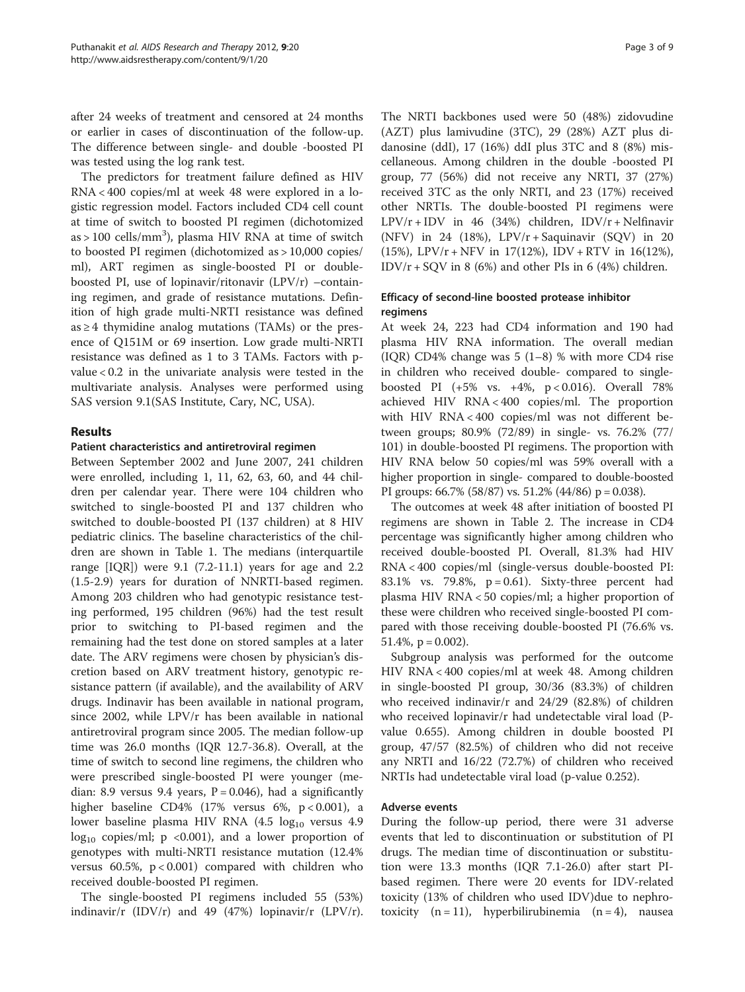after 24 weeks of treatment and censored at 24 months or earlier in cases of discontinuation of the follow-up. The difference between single- and double -boosted PI was tested using the log rank test.

The predictors for treatment failure defined as HIV RNA < 400 copies/ml at week 48 were explored in a logistic regression model. Factors included CD4 cell count at time of switch to boosted PI regimen (dichotomized as > 100 cells/mm<sup>3</sup>), plasma HIV RNA at time of switch to boosted PI regimen (dichotomized as > 10,000 copies/ ml), ART regimen as single-boosted PI or doubleboosted PI, use of lopinavir/ritonavir (LPV/r) –containing regimen, and grade of resistance mutations. Definition of high grade multi-NRTI resistance was defined  $as \geq 4$  thymidine analog mutations (TAMs) or the presence of Q151M or 69 insertion. Low grade multi-NRTI resistance was defined as 1 to 3 TAMs. Factors with pvalue < 0.2 in the univariate analysis were tested in the multivariate analysis. Analyses were performed using SAS version 9.1(SAS Institute, Cary, NC, USA).

# Results

# Patient characteristics and antiretroviral regimen

Between September 2002 and June 2007, 241 children were enrolled, including 1, 11, 62, 63, 60, and 44 children per calendar year. There were 104 children who switched to single-boosted PI and 137 children who switched to double-boosted PI (137 children) at 8 HIV pediatric clinics. The baseline characteristics of the children are shown in Table [1](#page-3-0). The medians (interquartile range  $[IQR]$ ) were 9.1 (7.2-11.1) years for age and 2.2 (1.5-2.9) years for duration of NNRTI-based regimen. Among 203 children who had genotypic resistance testing performed, 195 children (96%) had the test result prior to switching to PI-based regimen and the remaining had the test done on stored samples at a later date. The ARV regimens were chosen by physician's discretion based on ARV treatment history, genotypic resistance pattern (if available), and the availability of ARV drugs. Indinavir has been available in national program, since 2002, while LPV/r has been available in national antiretroviral program since 2005. The median follow-up time was 26.0 months (IQR 12.7-36.8). Overall, at the time of switch to second line regimens, the children who were prescribed single-boosted PI were younger (median: 8.9 versus 9.4 years,  $P = 0.046$ ), had a significantly higher baseline CD4% (17% versus 6%, p < 0.001), a lower baseline plasma HIV RNA  $(4.5 \text{ log}_{10} \text{ versus } 4.9)$  $log_{10}$  copies/ml; p <0.001), and a lower proportion of genotypes with multi-NRTI resistance mutation (12.4% versus  $60.5\%$ ,  $p < 0.001$ ) compared with children who received double-boosted PI regimen.

The single-boosted PI regimens included 55 (53%) indinavir/r (IDV/r) and 49 (47%) lopinavir/r (LPV/r).

The NRTI backbones used were 50 (48%) zidovudine (AZT) plus lamivudine (3TC), 29 (28%) AZT plus didanosine (ddI), 17 (16%) ddI plus 3TC and 8 (8%) miscellaneous. Among children in the double -boosted PI group, 77 (56%) did not receive any NRTI, 37 (27%) received 3TC as the only NRTI, and 23 (17%) received other NRTIs. The double-boosted PI regimens were  $LPV/r + IDV$  in 46 (34%) children,  $IDV/r + Nelfinavir$ (NFV) in 24 (18%), LPV/r + Saquinavir (SQV) in 20 (15%), LPV/r + NFV in 17(12%), IDV + RTV in 16(12%), IDV/r + SQV in 8 (6%) and other PIs in 6 (4%) children.

# Efficacy of second-line boosted protease inhibitor regimens

At week 24, 223 had CD4 information and 190 had plasma HIV RNA information. The overall median (IQR) CD4% change was  $5(1-8)$  % with more CD4 rise in children who received double- compared to singleboosted PI  $(+5\% \text{ vs. } +4\%, \text{ p} < 0.016)$ . Overall 78% achieved HIV RNA < 400 copies/ml. The proportion with HIV RNA < 400 copies/ml was not different between groups; 80.9% (72/89) in single- vs. 76.2% (77/ 101) in double-boosted PI regimens. The proportion with HIV RNA below 50 copies/ml was 59% overall with a higher proportion in single- compared to double-boosted PI groups:  $66.7\%$  (58/87) vs. 51.2% (44/86) p = 0.038).

The outcomes at week 48 after initiation of boosted PI regimens are shown in Table [2.](#page-4-0) The increase in CD4 percentage was significantly higher among children who received double-boosted PI. Overall, 81.3% had HIV RNA < 400 copies/ml (single-versus double-boosted PI: 83.1% vs. 79.8%, p = 0.61). Sixty-three percent had plasma HIV RNA < 50 copies/ml; a higher proportion of these were children who received single-boosted PI compared with those receiving double-boosted PI (76.6% vs.  $51.4\%$ ,  $p = 0.002$ ).

Subgroup analysis was performed for the outcome HIV RNA < 400 copies/ml at week 48. Among children in single-boosted PI group, 30/36 (83.3%) of children who received indinavir/r and 24/29 (82.8%) of children who received lopinavir/r had undetectable viral load (Pvalue 0.655). Among children in double boosted PI group, 47/57 (82.5%) of children who did not receive any NRTI and 16/22 (72.7%) of children who received NRTIs had undetectable viral load (p-value 0.252).

## Adverse events

During the follow-up period, there were 31 adverse events that led to discontinuation or substitution of PI drugs. The median time of discontinuation or substitution were 13.3 months (IQR 7.1-26.0) after start PIbased regimen. There were 20 events for IDV-related toxicity (13% of children who used IDV)due to nephrotoxicity  $(n = 11)$ , hyperbilirubinemia  $(n = 4)$ , nausea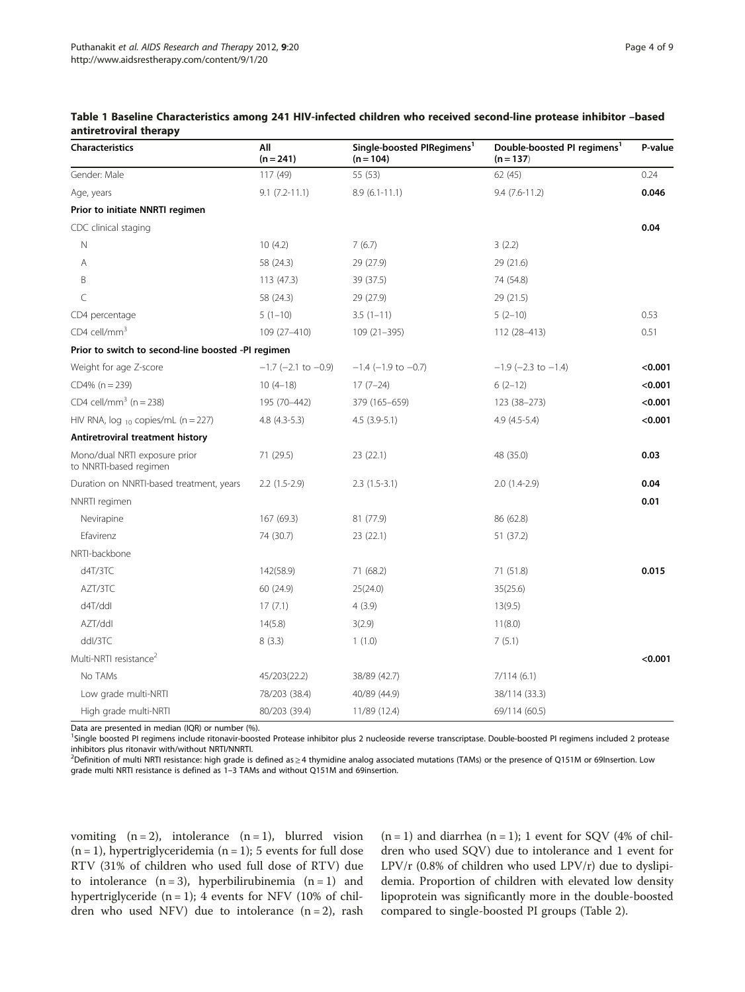| <b>Characteristics</b>                                  | All<br>$(n = 241)$    | Single-boosted PIRegimens <sup>1</sup><br>$(n = 104)$ | Double-boosted PI regimens <sup>1</sup><br>$(n = 137)$ | P-value |
|---------------------------------------------------------|-----------------------|-------------------------------------------------------|--------------------------------------------------------|---------|
| Gender: Male                                            | 117 (49)              | 55 (53)                                               | 62(45)                                                 | 0.24    |
| Age, years                                              | $9.1(7.2-11.1)$       | $8.9(6.1-11.1)$                                       | $9.4(7.6-11.2)$                                        | 0.046   |
| Prior to initiate NNRTI regimen                         |                       |                                                       |                                                        |         |
| CDC clinical staging                                    |                       |                                                       |                                                        | 0.04    |
| N                                                       | 10(4.2)               | 7(6.7)                                                | 3(2.2)                                                 |         |
| Α                                                       | 58 (24.3)             | 29 (27.9)                                             | 29 (21.6)                                              |         |
| B                                                       | 113 (47.3)            | 39 (37.5)                                             | 74 (54.8)                                              |         |
| C                                                       | 58 (24.3)             | 29 (27.9)                                             | 29 (21.5)                                              |         |
| CD4 percentage                                          | $5(1-10)$             | $3.5(1-11)$                                           | $5(2-10)$                                              | 0.53    |
| $CD4$ cell/mm <sup>3</sup>                              | 109 (27-410)          | $109(21-395)$                                         | 112 (28-413)                                           | 0.51    |
| Prior to switch to second-line boosted -PI regimen      |                       |                                                       |                                                        |         |
| Weight for age Z-score                                  | $-1.7$ (-2.1 to -0.9) | $-1.4$ (-1.9 to -0.7)                                 | $-1.9$ (-2.3 to $-1.4$ )                               | < 0.001 |
| $CD4\% (n = 239)$                                       | $10(4-18)$            | $17(7-24)$                                            | $6(2-12)$                                              | < 0.001 |
| CD4 cell/mm <sup>3</sup> ( $n = 238$ )                  | 195 (70-442)          | 379 (165-659)                                         | 123 (38-273)                                           | < 0.001 |
| HIV RNA, $log_{10}$ copies/mL (n = 227)                 | $4.8(4.3-5.3)$        | $4.5(3.9-5.1)$                                        | $4.9(4.5-5.4)$                                         | < 0.001 |
| Antiretroviral treatment history                        |                       |                                                       |                                                        |         |
| Mono/dual NRTI exposure prior<br>to NNRTI-based regimen | 71 (29.5)             | 23 (22.1)                                             | 48 (35.0)                                              | 0.03    |
| Duration on NNRTI-based treatment, years                | $2.2(1.5-2.9)$        | $2.3(1.5-3.1)$                                        | $2.0(1.4-2.9)$                                         | 0.04    |
| NNRTI regimen                                           |                       |                                                       |                                                        | 0.01    |
| Nevirapine                                              | 167 (69.3)            | 81 (77.9)                                             | 86 (62.8)                                              |         |
| Efavirenz                                               | 74 (30.7)             | 23 (22.1)                                             | 51 (37.2)                                              |         |
| NRTI-backbone                                           |                       |                                                       |                                                        |         |
| d4T/3TC                                                 | 142(58.9)             | 71 (68.2)                                             | 71 (51.8)                                              | 0.015   |
| AZT/3TC                                                 | 60 (24.9)             | 25(24.0)                                              | 35(25.6)                                               |         |
| d4T/ddl                                                 | 17(7.1)               | 4(3.9)                                                | 13(9.5)                                                |         |
| AZT/ddl                                                 | 14(5.8)               | 3(2.9)                                                | 11(8.0)                                                |         |
| ddl/3TC                                                 | 8(3.3)                | 1(1.0)                                                | 7(5.1)                                                 |         |
| Multi-NRTI resistance <sup>2</sup>                      |                       |                                                       |                                                        | < 0.001 |
| No TAMs                                                 | 45/203(22.2)          | 38/89 (42.7)                                          | 7/114(6.1)                                             |         |
| Low grade multi-NRTI                                    | 78/203 (38.4)         | 40/89 (44.9)                                          | 38/114 (33.3)                                          |         |
| High grade multi-NRTI                                   | 80/203 (39.4)         | 11/89 (12.4)                                          | 69/114 (60.5)                                          |         |

# <span id="page-3-0"></span>Table 1 Baseline Characteristics among 241 HIV-infected children who received second-line protease inhibitor –based antiretroviral therapy

Data are presented in median (IQR) or number (%).

<sup>1</sup>Single boosted PI regimens include ritonavir-boosted Protease inhibitor plus 2 nucleoside reverse transcriptase. Double-boosted PI regimens included 2 protease inhibitors plus ritonavir with/without NRTI/NNRTI.

2 Definition of multi NRTI resistance: high grade is defined as ≥ 4 thymidine analog associated mutations (TAMs) or the presence of Q151M or 69Insertion. Low grade multi NRTI resistance is defined as 1–3 TAMs and without Q151M and 69insertion.

vomiting  $(n = 2)$ , intolerance  $(n = 1)$ , blurred vision  $(n = 1)$ , hypertriglyceridemia  $(n = 1)$ ; 5 events for full dose RTV (31% of children who used full dose of RTV) due to intolerance  $(n = 3)$ , hyperbilirubinemia  $(n = 1)$  and hypertriglyceride ( $n = 1$ ); 4 events for NFV (10% of children who used NFV) due to intolerance  $(n = 2)$ , rash

 $(n = 1)$  and diarrhea  $(n = 1)$ ; 1 event for SQV (4% of children who used SQV) due to intolerance and 1 event for LPV/r (0.8% of children who used LPV/r) due to dyslipidemia. Proportion of children with elevated low density lipoprotein was significantly more in the double-boosted compared to single-boosted PI groups (Table [2\)](#page-4-0).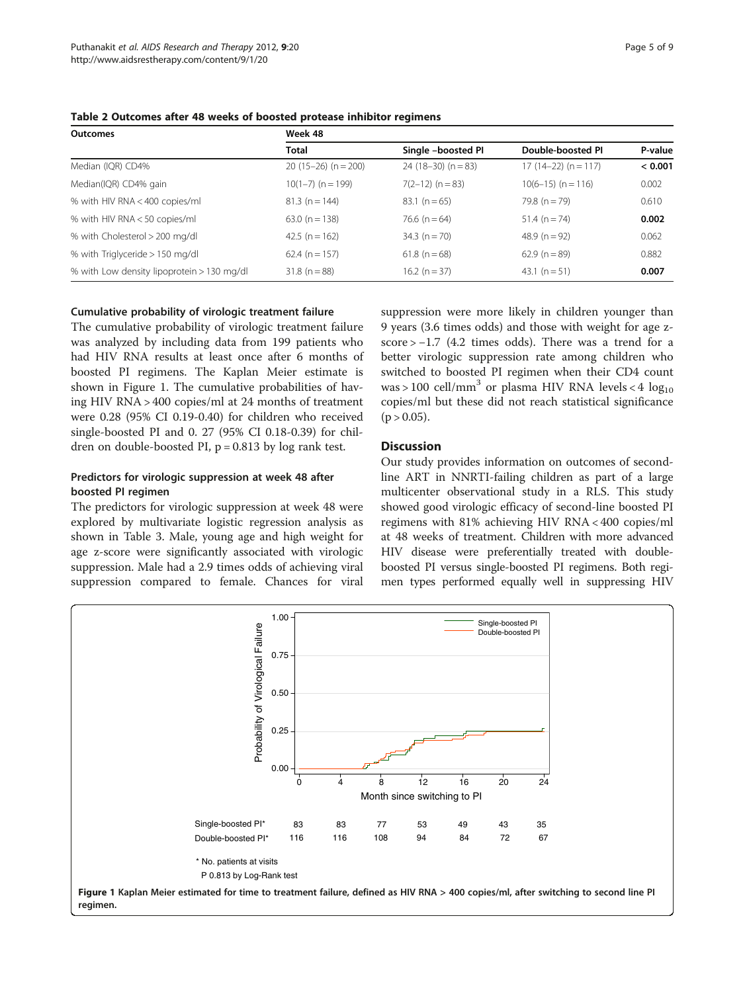| <b>Outcomes</b>                            | Week 48                |                    |                       |         |  |  |
|--------------------------------------------|------------------------|--------------------|-----------------------|---------|--|--|
|                                            | <b>Total</b>           | Single -boosted PI | Double-boosted PI     | P-value |  |  |
| Median (IQR) CD4%                          | 20 $(15-26)$ (n = 200) | $24(18-30)(n=83)$  | $17(14-22)$ (n = 117) | < 0.001 |  |  |
| Median(IQR) CD4% gain                      | $10(1-7)$ (n = 199)    | $7(2-12)$ (n = 83) | $10(6-15)$ (n = 116)  | 0.002   |  |  |
| % with HIV RNA < 400 copies/ml             | $81.3(n = 144)$        | $83.1(n=65)$       | 79.8 ( $n = 79$ )     | 0.610   |  |  |
| % with HIV RNA < 50 copies/ml              | $63.0$ (n = 138)       | 76.6 ( $n = 64$ )  | $51.4$ (n = 74)       | 0.002   |  |  |
| % with Cholesterol > 200 mg/dl             | 42.5 (n = $162$ )      | $34.3(n = 70)$     | 48.9 ( $n = 92$ )     | 0.062   |  |  |
| % with Triglyceride > 150 mg/dl            | $62.4$ (n = 157)       | $61.8$ (n = 68)    | $62.9$ (n = 89)       | 0.882   |  |  |
| % with Low density lipoprotein > 130 mg/dl | $31.8$ (n = 88)        | 16.2 ( $n = 37$ )  | 43.1 (n = 51)         | 0.007   |  |  |

<span id="page-4-0"></span>Table 2 Outcomes after 48 weeks of boosted protease inhibitor regimens

# Cumulative probability of virologic treatment failure

The cumulative probability of virologic treatment failure was analyzed by including data from 199 patients who had HIV RNA results at least once after 6 months of boosted PI regimens. The Kaplan Meier estimate is shown in Figure 1. The cumulative probabilities of having HIV RNA > 400 copies/ml at 24 months of treatment were 0.28 (95% CI 0.19-0.40) for children who received single-boosted PI and 0. 27 (95% CI 0.18-0.39) for children on double-boosted PI, p = 0.813 by log rank test.

# Predictors for virologic suppression at week 48 after boosted PI regimen

The predictors for virologic suppression at week 48 were explored by multivariate logistic regression analysis as shown in Table [3](#page-5-0). Male, young age and high weight for age z-score were significantly associated with virologic suppression. Male had a 2.9 times odds of achieving viral suppression compared to female. Chances for viral suppression were more likely in children younger than 9 years (3.6 times odds) and those with weight for age zscore > -1.7 (4.2 times odds). There was a trend for a better virologic suppression rate among children who switched to boosted PI regimen when their CD4 count was > 100 cell/mm<sup>3</sup> or plasma HIV RNA levels < 4  $log_{10}$ copies/ml but these did not reach statistical significance  $(p > 0.05)$ .

## **Discussion**

Our study provides information on outcomes of secondline ART in NNRTI-failing children as part of a large multicenter observational study in a RLS. This study showed good virologic efficacy of second-line boosted PI regimens with 81% achieving HIV RNA < 400 copies/ml at 48 weeks of treatment. Children with more advanced HIV disease were preferentially treated with doubleboosted PI versus single-boosted PI regimens. Both regimen types performed equally well in suppressing HIV

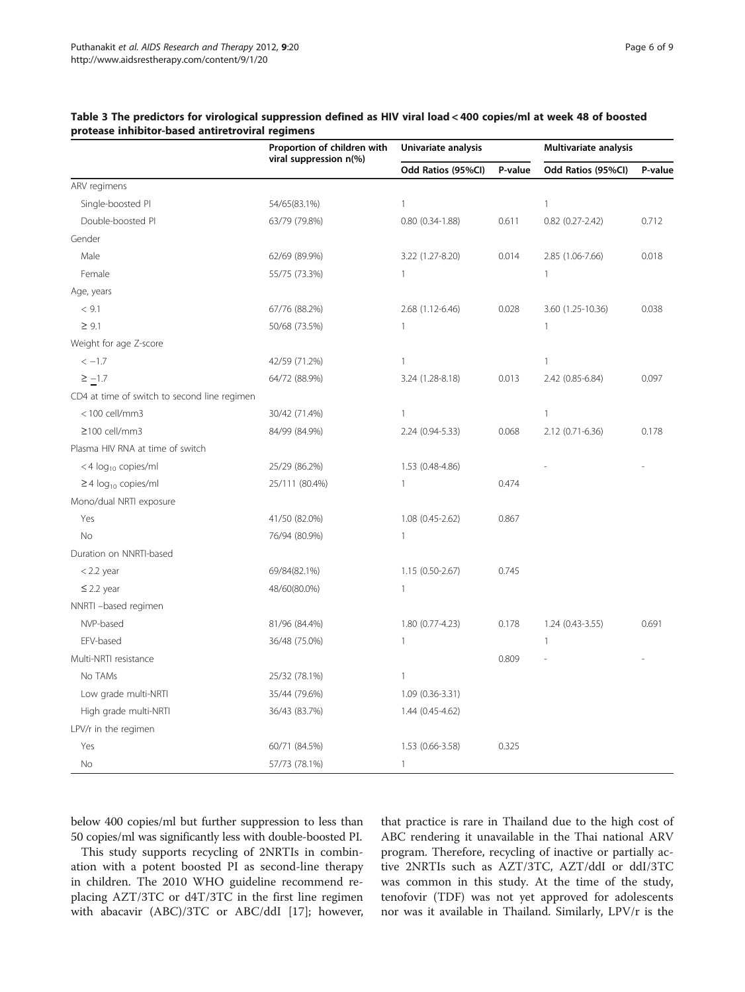|                                              | Proportion of children with<br>viral suppression n(%) | Univariate analysis |         | Multivariate analysis  |         |
|----------------------------------------------|-------------------------------------------------------|---------------------|---------|------------------------|---------|
|                                              |                                                       | Odd Ratios (95%CI)  | P-value | Odd Ratios (95%Cl)     | P-value |
| ARV regimens                                 |                                                       |                     |         |                        |         |
| Single-boosted PI                            | 54/65(83.1%)                                          | $\mathbf{1}$        |         | 1                      |         |
| Double-boosted PI                            | 63/79 (79.8%)                                         | $0.80(0.34-1.88)$   | 0.611   | $0.82$ $(0.27 - 2.42)$ | 0.712   |
| Gender                                       |                                                       |                     |         |                        |         |
| Male                                         | 62/69 (89.9%)                                         | 3.22 (1.27-8.20)    | 0.014   | 2.85 (1.06-7.66)       | 0.018   |
| Female                                       | 55/75 (73.3%)                                         | $\mathbf{1}$        |         | 1                      |         |
| Age, years                                   |                                                       |                     |         |                        |         |
| < 9.1                                        | 67/76 (88.2%)                                         | 2.68 (1.12-6.46)    | 0.028   | 3.60 (1.25-10.36)      | 0.038   |
| $\geq 9.1$                                   | 50/68 (73.5%)                                         | $\mathbf{1}$        |         | 1                      |         |
| Weight for age Z-score                       |                                                       |                     |         |                        |         |
| $<-1.7$                                      | 42/59 (71.2%)                                         | $\overline{1}$      |         | 1                      |         |
| $\geq -1.7$                                  | 64/72 (88.9%)                                         | 3.24 (1.28-8.18)    | 0.013   | 2.42 (0.85-6.84)       | 0.097   |
| CD4 at time of switch to second line regimen |                                                       |                     |         |                        |         |
| <100 cell/mm3                                | 30/42 (71.4%)                                         | $\mathbf{1}$        |         | $\mathbf{1}$           |         |
| ≥100 cell/mm3                                | 84/99 (84.9%)                                         | 2.24 (0.94-5.33)    | 0.068   | 2.12 (0.71-6.36)       | 0.178   |
| Plasma HIV RNA at time of switch             |                                                       |                     |         |                        |         |
| <4 log <sub>10</sub> copies/ml               | 25/29 (86.2%)                                         | 1.53 (0.48-4.86)    |         |                        |         |
| $\geq$ 4 log <sub>10</sub> copies/ml         | 25/111 (80.4%)                                        | $\mathbf{1}$        | 0.474   |                        |         |
| Mono/dual NRTI exposure                      |                                                       |                     |         |                        |         |
| Yes                                          | 41/50 (82.0%)                                         | $1.08(0.45-2.62)$   | 0.867   |                        |         |
| No                                           | 76/94 (80.9%)                                         | $\mathbf{1}$        |         |                        |         |
| Duration on NNRTI-based                      |                                                       |                     |         |                        |         |
| $<$ 2.2 year                                 | 69/84(82.1%)                                          | $1.15(0.50-2.67)$   | 0.745   |                        |         |
| $\leq$ 2.2 year                              | 48/60(80.0%)                                          | $\mathbf{1}$        |         |                        |         |
| NNRTI-based regimen                          |                                                       |                     |         |                        |         |
| NVP-based                                    | 81/96 (84.4%)                                         | 1.80 (0.77-4.23)    | 0.178   | $1.24(0.43-3.55)$      | 0.691   |
| EFV-based                                    | 36/48 (75.0%)                                         | $\mathbf{1}$        |         | 1                      |         |
| Multi-NRTI resistance                        |                                                       |                     | 0.809   |                        |         |
| No TAMs                                      | 25/32 (78.1%)                                         | $\mathbf{1}$        |         |                        |         |
| Low grade multi-NRTI                         | 35/44 (79.6%)                                         | 1.09 (0.36-3.31)    |         |                        |         |
| High grade multi-NRTI                        | 36/43 (83.7%)                                         | 1.44 (0.45-4.62)    |         |                        |         |
| LPV/r in the regimen                         |                                                       |                     |         |                        |         |
| Yes                                          | 60/71 (84.5%)                                         | 1.53 (0.66-3.58)    | 0.325   |                        |         |
| No                                           | 57/73 (78.1%)                                         | $\mathbf{1}$        |         |                        |         |

<span id="page-5-0"></span>Table 3 The predictors for virological suppression defined as HIV viral load < 400 copies/ml at week 48 of boosted protease inhibitor-based antiretroviral regimens

below 400 copies/ml but further suppression to less than 50 copies/ml was significantly less with double-boosted PI.

This study supports recycling of 2NRTIs in combination with a potent boosted PI as second-line therapy in children. The 2010 WHO guideline recommend replacing AZT/3TC or d4T/3TC in the first line regimen with abacavir (ABC)/3TC or ABC/ddI [[17\]](#page-8-0); however,

that practice is rare in Thailand due to the high cost of ABC rendering it unavailable in the Thai national ARV program. Therefore, recycling of inactive or partially active 2NRTIs such as AZT/3TC, AZT/ddI or ddI/3TC was common in this study. At the time of the study, tenofovir (TDF) was not yet approved for adolescents nor was it available in Thailand. Similarly, LPV/r is the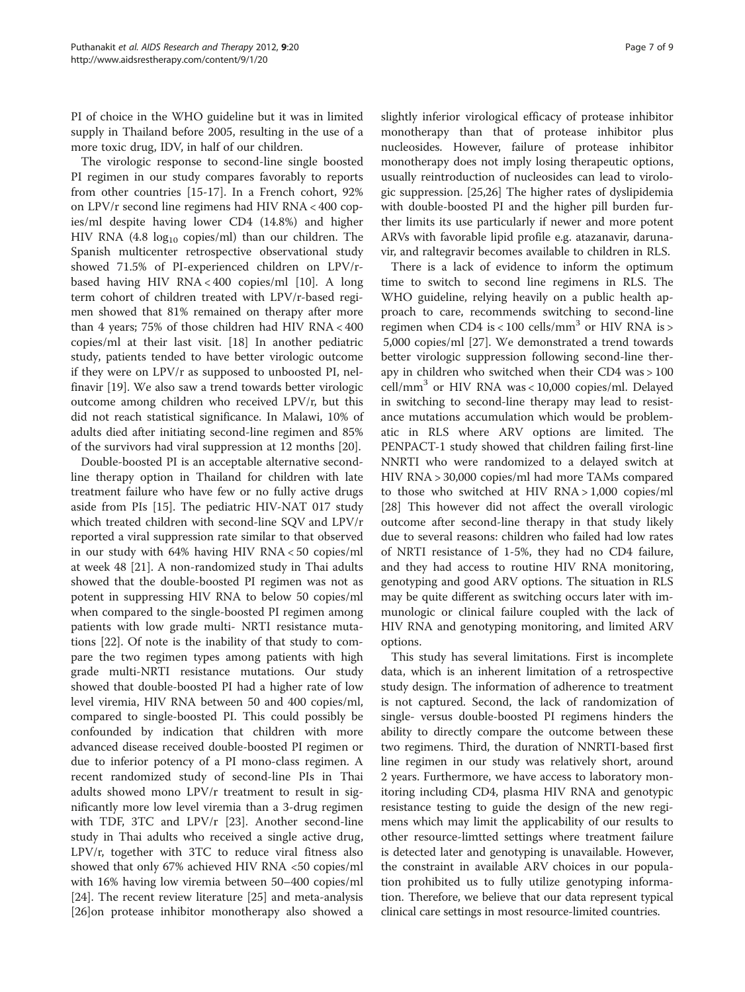PI of choice in the WHO guideline but it was in limited supply in Thailand before 2005, resulting in the use of a more toxic drug, IDV, in half of our children.

The virologic response to second-line single boosted PI regimen in our study compares favorably to reports from other countries [[15](#page-8-0)-[17\]](#page-8-0). In a French cohort, 92% on LPV/r second line regimens had HIV RNA < 400 copies/ml despite having lower CD4 (14.8%) and higher HIV RNA (4.8  $log_{10}$  copies/ml) than our children. The Spanish multicenter retrospective observational study showed 71.5% of PI-experienced children on LPV/rbased having HIV RNA < 400 copies/ml [\[10](#page-7-0)]. A long term cohort of children treated with LPV/r-based regimen showed that 81% remained on therapy after more than 4 years; 75% of those children had HIV RNA < 400 copies/ml at their last visit. [[18\]](#page-8-0) In another pediatric study, patients tended to have better virologic outcome if they were on LPV/r as supposed to unboosted PI, nelfinavir [[19\]](#page-8-0). We also saw a trend towards better virologic outcome among children who received LPV/r, but this did not reach statistical significance. In Malawi, 10% of adults died after initiating second-line regimen and 85% of the survivors had viral suppression at 12 months [[20](#page-8-0)].

Double-boosted PI is an acceptable alternative secondline therapy option in Thailand for children with late treatment failure who have few or no fully active drugs aside from PIs [\[15\]](#page-8-0). The pediatric HIV-NAT 017 study which treated children with second-line SQV and LPV/r reported a viral suppression rate similar to that observed in our study with 64% having HIV RNA < 50 copies/ml at week 48 [[21](#page-8-0)]. A non-randomized study in Thai adults showed that the double-boosted PI regimen was not as potent in suppressing HIV RNA to below 50 copies/ml when compared to the single-boosted PI regimen among patients with low grade multi- NRTI resistance mutations [[22](#page-8-0)]. Of note is the inability of that study to compare the two regimen types among patients with high grade multi-NRTI resistance mutations. Our study showed that double-boosted PI had a higher rate of low level viremia, HIV RNA between 50 and 400 copies/ml, compared to single-boosted PI. This could possibly be confounded by indication that children with more advanced disease received double-boosted PI regimen or due to inferior potency of a PI mono-class regimen. A recent randomized study of second-line PIs in Thai adults showed mono LPV/r treatment to result in significantly more low level viremia than a 3-drug regimen with TDF, 3TC and LPV/r [\[23](#page-8-0)]. Another second-line study in Thai adults who received a single active drug, LPV/r, together with 3TC to reduce viral fitness also showed that only 67% achieved HIV RNA <50 copies/ml with 16% having low viremia between 50–400 copies/ml [[24\]](#page-8-0). The recent review literature [[25\]](#page-8-0) and meta-analysis [[26\]](#page-8-0)on protease inhibitor monotherapy also showed a

slightly inferior virological efficacy of protease inhibitor monotherapy than that of protease inhibitor plus nucleosides. However, failure of protease inhibitor monotherapy does not imply losing therapeutic options, usually reintroduction of nucleosides can lead to virologic suppression. [[25](#page-8-0),[26](#page-8-0)] The higher rates of dyslipidemia with double-boosted PI and the higher pill burden further limits its use particularly if newer and more potent ARVs with favorable lipid profile e.g. atazanavir, darunavir, and raltegravir becomes available to children in RLS.

There is a lack of evidence to inform the optimum time to switch to second line regimens in RLS. The WHO guideline, relying heavily on a public health approach to care, recommends switching to second-line regimen when CD4 is < 100 cells/mm<sup>3</sup> or HIV RNA is > 5,000 copies/ml [[27\]](#page-8-0). We demonstrated a trend towards better virologic suppression following second-line therapy in children who switched when their CD4 was > 100 cell/mm<sup>3</sup> or HIV RNA was < 10,000 copies/ml. Delayed in switching to second-line therapy may lead to resistance mutations accumulation which would be problematic in RLS where ARV options are limited. The PENPACT-1 study showed that children failing first-line NNRTI who were randomized to a delayed switch at HIV RNA > 30,000 copies/ml had more TAMs compared to those who switched at HIV RNA > 1,000 copies/ml [[28\]](#page-8-0) This however did not affect the overall virologic outcome after second-line therapy in that study likely due to several reasons: children who failed had low rates of NRTI resistance of 1-5%, they had no CD4 failure, and they had access to routine HIV RNA monitoring, genotyping and good ARV options. The situation in RLS may be quite different as switching occurs later with immunologic or clinical failure coupled with the lack of HIV RNA and genotyping monitoring, and limited ARV options.

This study has several limitations. First is incomplete data, which is an inherent limitation of a retrospective study design. The information of adherence to treatment is not captured. Second, the lack of randomization of single- versus double-boosted PI regimens hinders the ability to directly compare the outcome between these two regimens. Third, the duration of NNRTI-based first line regimen in our study was relatively short, around 2 years. Furthermore, we have access to laboratory monitoring including CD4, plasma HIV RNA and genotypic resistance testing to guide the design of the new regimens which may limit the applicability of our results to other resource-limtted settings where treatment failure is detected later and genotyping is unavailable. However, the constraint in available ARV choices in our population prohibited us to fully utilize genotyping information. Therefore, we believe that our data represent typical clinical care settings in most resource-limited countries.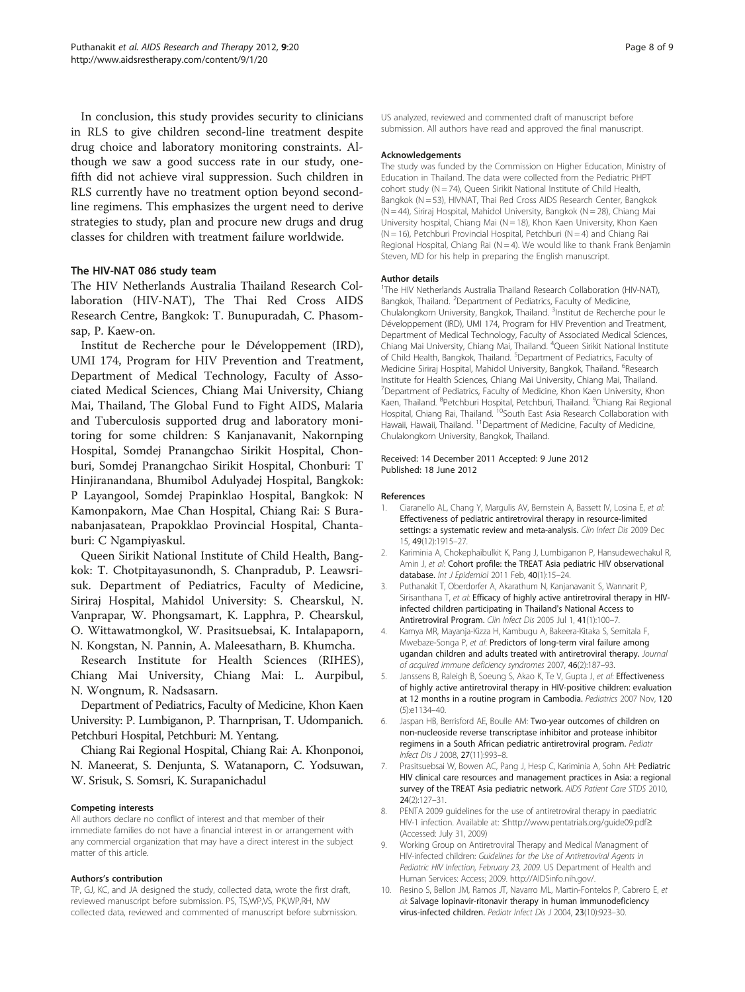<span id="page-7-0"></span>In conclusion, this study provides security to clinicians in RLS to give children second-line treatment despite drug choice and laboratory monitoring constraints. Although we saw a good success rate in our study, onefifth did not achieve viral suppression. Such children in RLS currently have no treatment option beyond secondline regimens. This emphasizes the urgent need to derive strategies to study, plan and procure new drugs and drug classes for children with treatment failure worldwide.

# The HIV-NAT 086 study team

The HIV Netherlands Australia Thailand Research Collaboration (HIV-NAT), The Thai Red Cross AIDS Research Centre, Bangkok: T. Bunupuradah, C. Phasomsap, P. Kaew-on.

Institut de Recherche pour le Développement (IRD), UMI 174, Program for HIV Prevention and Treatment, Department of Medical Technology, Faculty of Associated Medical Sciences, Chiang Mai University, Chiang Mai, Thailand, The Global Fund to Fight AIDS, Malaria and Tuberculosis supported drug and laboratory monitoring for some children: S Kanjanavanit, Nakornping Hospital, Somdej Pranangchao Sirikit Hospital, Chonburi, Somdej Pranangchao Sirikit Hospital, Chonburi: T Hinjiranandana, Bhumibol Adulyadej Hospital, Bangkok: P Layangool, Somdej Prapinklao Hospital, Bangkok: N Kamonpakorn, Mae Chan Hospital, Chiang Rai: S Buranabanjasatean, Prapokklao Provincial Hospital, Chantaburi: C Ngampiyaskul.

Queen Sirikit National Institute of Child Health, Bangkok: T. Chotpitayasunondh, S. Chanpradub, P. Leawsrisuk. Department of Pediatrics, Faculty of Medicine, Siriraj Hospital, Mahidol University: S. Chearskul, N. Vanprapar, W. Phongsamart, K. Lapphra, P. Chearskul, O. Wittawatmongkol, W. Prasitsuebsai, K. Intalapaporn, N. Kongstan, N. Pannin, A. Maleesatharn, B. Khumcha.

Research Institute for Health Sciences (RIHES), Chiang Mai University, Chiang Mai: L. Aurpibul, N. Wongnum, R. Nadsasarn.

Department of Pediatrics, Faculty of Medicine, Khon Kaen University: P. Lumbiganon, P. Tharnprisan, T. Udompanich. Petchburi Hospital, Petchburi: M. Yentang.

Chiang Rai Regional Hospital, Chiang Rai: A. Khonponoi, N. Maneerat, S. Denjunta, S. Watanaporn, C. Yodsuwan, W. Srisuk, S. Somsri, K. Surapanichadul

### Competing interests

All authors declare no conflict of interest and that member of their immediate families do not have a financial interest in or arrangement with any commercial organization that may have a direct interest in the subject matter of this article.

### Authors's contribution

TP, GJ, KC, and JA designed the study, collected data, wrote the first draft, reviewed manuscript before submission. PS, TS,WP,VS, PK,WP,RH, NW collected data, reviewed and commented of manuscript before submission. US analyzed, reviewed and commented draft of manuscript before submission. All authors have read and approved the final manuscript.

#### Acknowledgements

The study was funded by the Commission on Higher Education, Ministry of Education in Thailand. The data were collected from the Pediatric PHPT cohort study (N = 74), Queen Sirikit National Institute of Child Health, Bangkok (N = 53), HIVNAT, Thai Red Cross AIDS Research Center, Bangkok (N = 44), Siriraj Hospital, Mahidol University, Bangkok (N = 28), Chiang Mai University hospital, Chiang Mai (N = 18), Khon Kaen University, Khon Kaen (N = 16), Petchburi Provincial Hospital, Petchburi (N = 4) and Chiang Rai Regional Hospital, Chiang Rai (N = 4). We would like to thank Frank Benjamin Steven, MD for his help in preparing the English manuscript.

#### Author details

<sup>1</sup>The HIV Netherlands Australia Thailand Research Collaboration (HIV-NAT) Bangkok, Thailand. <sup>2</sup>Department of Pediatrics, Faculty of Medicine, Chulalongkorn University, Bangkok, Thailand. <sup>3</sup>Institut de Recherche pour le Développement (IRD), UMI 174, Program for HIV Prevention and Treatment, Department of Medical Technology, Faculty of Associated Medical Sciences, Chiang Mai University, Chiang Mai, Thailand. <sup>4</sup>Queen Sirikit National Institute of Child Health, Bangkok, Thailand. <sup>5</sup>Department of Pediatrics, Faculty of Medicine Siriraj Hospital, Mahidol University, Bangkok, Thailand. <sup>6</sup>Research Institute for Health Sciences, Chiang Mai University, Chiang Mai, Thailand. <sup>7</sup>Department of Pediatrics, Faculty of Medicine, Khon Kaen University, Khon Kaen, Thailand. <sup>8</sup>Petchburi Hospital, Petchburi, Thailand. <sup>9</sup>Chiang Rai Regional Hospital, Chiang Rai, Thailand. 10South East Asia Research Collaboration with Hawaii, Hawaii, Thailand. 11Department of Medicine, Faculty of Medicine, Chulalongkorn University, Bangkok, Thailand.

#### Received: 14 December 2011 Accepted: 9 June 2012 Published: 18 June 2012

#### References

- 1. Ciaranello AL, Chang Y, Margulis AV, Bernstein A, Bassett IV, Losina E, et al: Effectiveness of pediatric antiretroviral therapy in resource-limited settings: a systematic review and meta-analysis. Clin Infect Dis 2009 Dec 15, 49(12):1915–27.
- 2. Kariminia A, Chokephaibulkit K, Pang J, Lumbiganon P, Hansudewechakul R, Amin J, et al: Cohort profile: the TREAT Asia pediatric HIV observational database. Int J Epidemiol 2011 Feb, 40(1):15-24.
- 3. Puthanakit T, Oberdorfer A, Akarathum N, Kanjanavanit S, Wannarit P, Sirisanthana T, et al: Efficacy of highly active antiretroviral therapy in HIVinfected children participating in Thailand's National Access to Antiretroviral Program. Clin Infect Dis 2005 Jul 1, 41(1):100–7.
- 4. Kamya MR, Mayanja-Kizza H, Kambugu A, Bakeera-Kitaka S, Semitala F, Mwebaze-Songa P, et al: Predictors of long-term viral failure among ugandan children and adults treated with antiretroviral therapy. Journal of acquired immune deficiency syndromes 2007, 46(2):187–93.
- 5. Janssens B, Raleigh B, Soeung S, Akao K, Te V, Gupta J, et al: Effectiveness of highly active antiretroviral therapy in HIV-positive children: evaluation at 12 months in a routine program in Cambodia. Pediatrics 2007 Nov, 120 (5):e1134–40.
- 6. Jaspan HB, Berrisford AE, Boulle AM: Two-year outcomes of children on non-nucleoside reverse transcriptase inhibitor and protease inhibitor regimens in a South African pediatric antiretroviral program. Pediatr Infect Dis J 2008, 27(11):993–8.
- 7. Prasitsuebsai W, Bowen AC, Pang J, Hesp C, Kariminia A, Sohn AH: Pediatric HIV clinical care resources and management practices in Asia: a regional survey of the TREAT Asia pediatric network. AIDS Patient Care STDS 2010, 24(2):127–31.
- 8. PENTA 2009 guidelines for the use of antiretroviral therapy in paediatric HIV-1 infection. Available at: ≤<http://www.pentatrials.org/guide09.pdf>≥ (Accessed: July 31, 2009)
- 9. Working Group on Antiretroviral Therapy and Medical Managment of HIV-infected children: Guidelines for the Use of Antiretroviral Agents in Pediatric HIV Infection, February 23, 2009. US Department of Health and Human Services: Access; 2009.<http://AIDSinfo.nih.gov/>.
- 10. Resino S, Bellon JM, Ramos JT, Navarro ML, Martin-Fontelos P, Cabrero E, et al: Salvage lopinavir-ritonavir therapy in human immunodeficiency virus-infected children. Pediatr Infect Dis J 2004, 23(10):923–30.